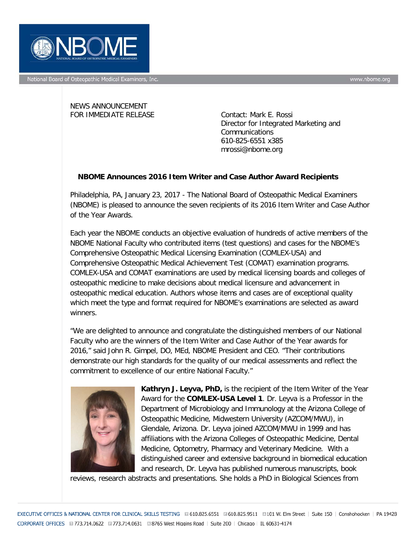

National Board of Osteopathic Medical Examiners, Inc.

NEWS ANNOUNCEMENT FOR IMMEDIATE RELEASE Contact: Mark E. Rossi

Director for Integrated Marketing and **Communications** 610-825-6551 x385 mrossi@nbome.org

## **NBOME Announces 2016 Item Writer and Case Author Award Recipients**

Philadelphia, PA, January 23, 2017 - The National Board of Osteopathic Medical Examiners (NBOME) is pleased to announce the seven recipients of its 2016 Item Writer and Case Author of the Year Awards.

Each year the NBOME conducts an objective evaluation of hundreds of active members of the NBOME National Faculty who contributed items (test questions) and cases for the NBOME's Comprehensive Osteopathic Medical Licensing Examination (COMLEX-USA) and Comprehensive Osteopathic Medical Achievement Test (COMAT) examination programs. COMLEX-USA and COMAT examinations are used by medical licensing boards and colleges of osteopathic medicine to make decisions about medical licensure and advancement in osteopathic medical education. Authors whose items and cases are of exceptional quality which meet the type and format required for NBOME's examinations are selected as award winners.

"We are delighted to announce and congratulate the distinguished members of our National Faculty who are the winners of the Item Writer and Case Author of the Year awards for 2016," said John R. Gimpel, DO, MEd, NBOME President and CEO. "Their contributions demonstrate our high standards for the quality of our medical assessments and reflect the commitment to excellence of our entire National Faculty."



**Kathryn J. Leyva, PhD,** is the recipient of the Item Writer of the Year Award for the **COMLEX-USA Level 1**. Dr. Leyva is a Professor in the Department of Microbiology and Immunology at the Arizona College of Osteopathic Medicine, Midwestern University (AZCOM/MWU), in Glendale, Arizona. Dr. Leyva joined AZCOM/MWU in 1999 and has affiliations with the Arizona Colleges of Osteopathic Medicine, Dental Medicine, Optometry, Pharmacy and Veterinary Medicine. With a distinguished career and extensive background in biomedical education and research, Dr. Leyva has published numerous manuscripts, book

reviews, research abstracts and presentations. She holds a PhD in Biological Sciences from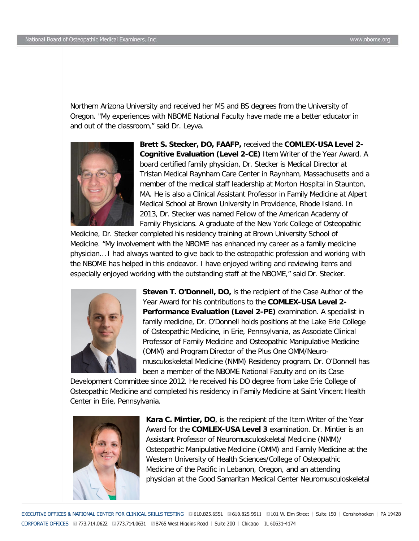Northern Arizona University and received her MS and BS degrees from the University of Oregon. "My experiences with NBOME National Faculty have made me a better educator in and out of the classroom," said Dr. Leyva.



**Brett S. Stecker, DO, FAAFP,** received the **COMLEX-USA Level 2- Cognitive Evaluation (Level 2-CE)** Item Writer of the Year Award. A board certified family physician, Dr. Stecker is Medical Director at Tristan Medical Raynham Care Center in Raynham, Massachusetts and a member of the medical staff leadership at Morton Hospital in Staunton, MA. He is also a Clinical Assistant Professor in Family Medicine at Alpert Medical School at Brown University in Providence, Rhode Island. In 2013, Dr. Stecker was named Fellow of the American Academy of Family Physicians. A graduate of the New York College of Osteopathic

Medicine, Dr. Stecker completed his residency training at Brown University School of Medicine. "My involvement with the NBOME has enhanced my career as a family medicine physician… I had always wanted to give back to the osteopathic profession and working with the NBOME has helped in this endeavor. I have enjoyed writing and reviewing items and especially enjoyed working with the outstanding staff at the NBOME," said Dr. Stecker.



**Steven T. O'Donnell, DO,** is the recipient of the Case Author of the Year Award for his contributions to the **COMLEX-USA Level 2- Performance Evaluation (Level 2-PE)** examination. A specialist in family medicine, Dr. O'Donnell holds positions at the Lake Erie College of Osteopathic Medicine, in Erie, Pennsylvania, as Associate Clinical Professor of Family Medicine and Osteopathic Manipulative Medicine (OMM) and Program Director of the Plus One OMM/Neuromusculoskeletal Medicine (NMM) Residency program. Dr. O'Donnell has been a member of the NBOME National Faculty and on its Case

Development Committee since 2012. He received his DO degree from Lake Erie College of Osteopathic Medicine and completed his residency in Family Medicine at Saint Vincent Health Center in Erie, Pennsylvania.



**Kara C. Mintier, DO**, is the recipient of the Item Writer of the Year Award for the **COMLEX-USA Level 3** examination. Dr. Mintier is an Assistant Professor of Neuromusculoskeletal Medicine (NMM)/ Osteopathic Manipulative Medicine (OMM) and Family Medicine at the Western University of Health Sciences/College of Osteopathic Medicine of the Pacific in Lebanon, Oregon, and an attending physician at the Good Samaritan Medical Center Neuromusculoskeletal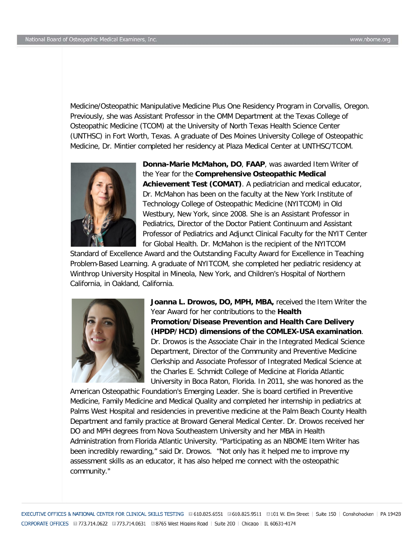Medicine/Osteopathic Manipulative Medicine Plus One Residency Program in Corvallis, Oregon. Previously, she was Assistant Professor in the OMM Department at the Texas College of Osteopathic Medicine (TCOM) at the University of North Texas Health Science Center (UNTHSC) in Fort Worth, Texas. A graduate of Des Moines University College of Osteopathic Medicine, Dr. Mintier completed her residency at Plaza Medical Center at UNTHSC/TCOM.



**Donna-Marie McMahon, DO**, **FAAP**, was awarded Item Writer of the Year for the **Comprehensive Osteopathic Medical Achievement Test (COMAT)**. A pediatrician and medical educator, Dr. McMahon has been on the faculty at the New York Institute of Technology College of Osteopathic Medicine (NYITCOM) in Old Westbury, New York, since 2008. She is an Assistant Professor in Pediatrics, Director of the Doctor Patient Continuum and Assistant Professor of Pediatrics and Adjunct Clinical Faculty for the NYIT Center for Global Health. Dr. McMahon is the recipient of the NYITCOM

Standard of Excellence Award and the Outstanding Faculty Award for Excellence in Teaching Problem-Based Learning. A graduate of NYITCOM, she completed her pediatric residency at Winthrop University Hospital in Mineola, New York, and Children's Hospital of Northern California, in Oakland, California.



**Joanna L. Drowos, DO, MPH, MBA,** received the Item Writer the Year Award for her contributions to the **Health Promotion/Disease Prevention and Health Care Delivery (HPDP/HCD) dimensions of the COMLEX-USA examination**. Dr. Drowos is the Associate Chair in the Integrated Medical Science Department, Director of the Community and Preventive Medicine Clerkship and Associate Professor of Integrated Medical Science at the Charles E. Schmidt College of Medicine at Florida Atlantic University in Boca Raton, Florida. In 2011, she was honored as the

American Osteopathic Foundation's Emerging Leader. She is board certified in Preventive Medicine, Family Medicine and Medical Quality and completed her internship in pediatrics at Palms West Hospital and residencies in preventive medicine at the Palm Beach County Health Department and family practice at Broward General Medical Center. Dr. Drowos received her DO and MPH degrees from Nova Southeastern University and her MBA in Health Administration from Florida Atlantic University. "Participating as an NBOME Item Writer has been incredibly rewarding," said Dr. Drowos. "Not only has it helped me to improve my assessment skills as an educator, it has also helped me connect with the osteopathic community."